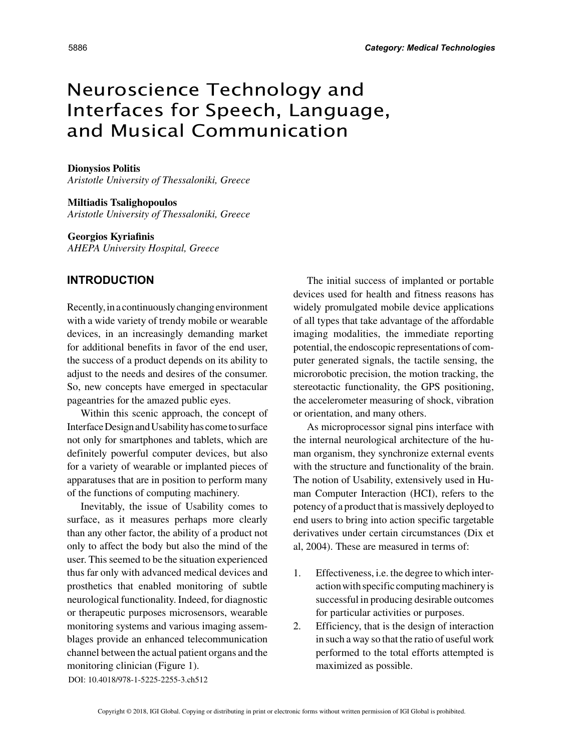# Neuroscience Technology and Interfaces for Speech, Language, and Musical Communication

#### **Dionysios Politis**

*Aristotle University of Thessaloniki, Greece*

**Miltiadis Tsalighopoulos** *Aristotle University of Thessaloniki, Greece*

#### **Georgios Kyriafinis**

*AHEPA University Hospital, Greece*

## **INTRODUCTION**

Recently, in a continuously changing environment with a wide variety of trendy mobile or wearable devices, in an increasingly demanding market for additional benefits in favor of the end user, the success of a product depends on its ability to adjust to the needs and desires of the consumer. So, new concepts have emerged in spectacular pageantries for the amazed public eyes.

Within this scenic approach, the concept of Interface Design and Usability has come to surface not only for smartphones and tablets, which are definitely powerful computer devices, but also for a variety of wearable or implanted pieces of apparatuses that are in position to perform many of the functions of computing machinery.

DOI: 10.4018/978-1-5225-2255-3.ch512 Inevitably, the issue of Usability comes to surface, as it measures perhaps more clearly than any other factor, the ability of a product not only to affect the body but also the mind of the user. This seemed to be the situation experienced thus far only with advanced medical devices and prosthetics that enabled monitoring of subtle neurological functionality. Indeed, for diagnostic or therapeutic purposes microsensors, wearable monitoring systems and various imaging assemblages provide an enhanced telecommunication channel between the actual patient organs and the monitoring clinician (Figure 1).

The initial success of implanted or portable devices used for health and fitness reasons has widely promulgated mobile device applications of all types that take advantage of the affordable imaging modalities, the immediate reporting potential, the endoscopic representations of computer generated signals, the tactile sensing, the microrobotic precision, the motion tracking, the stereotactic functionality, the GPS positioning, the accelerometer measuring of shock, vibration or orientation, and many others.

As microprocessor signal pins interface with the internal neurological architecture of the human organism, they synchronize external events with the structure and functionality of the brain. The notion of Usability, extensively used in Human Computer Interaction (HCI), refers to the potency of a product that is massively deployed to end users to bring into action specific targetable derivatives under certain circumstances (Dix et al, 2004). These are measured in terms of:

- 1. Effectiveness, i.e. the degree to which interaction with specific computing machinery is successful in producing desirable outcomes for particular activities or purposes.
- 2. Efficiency, that is the design of interaction in such a way so that the ratio of useful work performed to the total efforts attempted is maximized as possible.

5886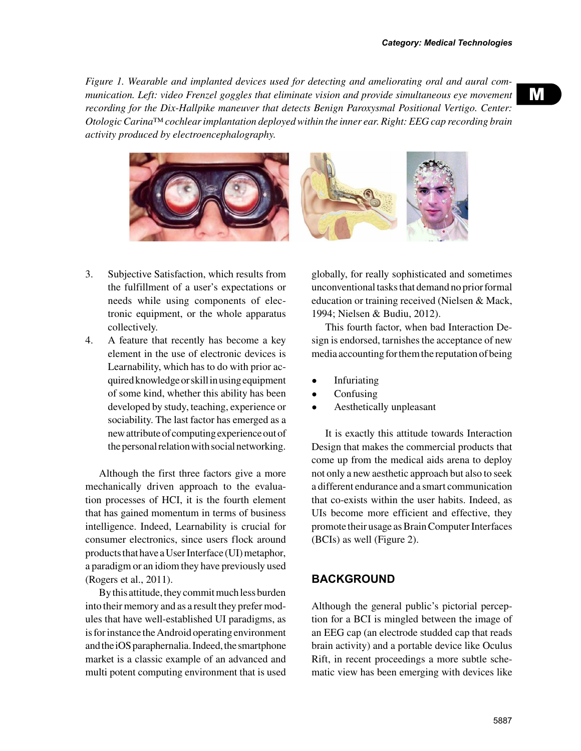*Figure 1. Wearable and implanted devices used for detecting and ameliorating oral and aural communication. Left: video Frenzel goggles that eliminate vision and provide simultaneous eye movement recording for the Dix-Hallpike maneuver that detects Benign Paroxysmal Positional Vertigo. Center: Otologic Carina™ cochlear implantation deployed within the inner ear. Right: EEG cap recording brain activity produced by electroencephalography.*



- 3. Subjective Satisfaction, which results from the fulfillment of a user's expectations or needs while using components of electronic equipment, or the whole apparatus collectively.
- 4. A feature that recently has become a key element in the use of electronic devices is Learnability, which has to do with prior acquired knowledge or skill in using equipment of some kind, whether this ability has been developed by study, teaching, experience or sociability. The last factor has emerged as a new attribute of computing experience out of the personal relation with social networking.

Although the first three factors give a more mechanically driven approach to the evaluation processes of HCI, it is the fourth element that has gained momentum in terms of business intelligence. Indeed, Learnability is crucial for consumer electronics, since users flock around products that have a User Interface (UI) metaphor, a paradigm or an idiom they have previously used (Rogers et al., 2011).

By this attitude, they commit much less burden into their memory and as a result they prefer modules that have well-established UI paradigms, as is for instance the Android operating environment and the iOS paraphernalia. Indeed, the smartphone market is a classic example of an advanced and multi potent computing environment that is used globally, for really sophisticated and sometimes unconventional tasks that demand no prior formal education or training received (Nielsen & Mack, 1994; Nielsen & Budiu, 2012).

This fourth factor, when bad Interaction Design is endorsed, tarnishes the acceptance of new media accounting for them the reputation of being

- **Infuriating**
- Confusing
- Aesthetically unpleasant

It is exactly this attitude towards Interaction Design that makes the commercial products that come up from the medical aids arena to deploy not only a new aesthetic approach but also to seek a different endurance and a smart communication that co-exists within the user habits. Indeed, as UIs become more efficient and effective, they promote their usage as Brain Computer Interfaces (BCIs) as well (Figure 2).

# **BACKGROUND**

Although the general public's pictorial perception for a BCI is mingled between the image of an EEG cap (an electrode studded cap that reads brain activity) and a portable device like Oculus Rift, in recent proceedings a more subtle schematic view has been emerging with devices like